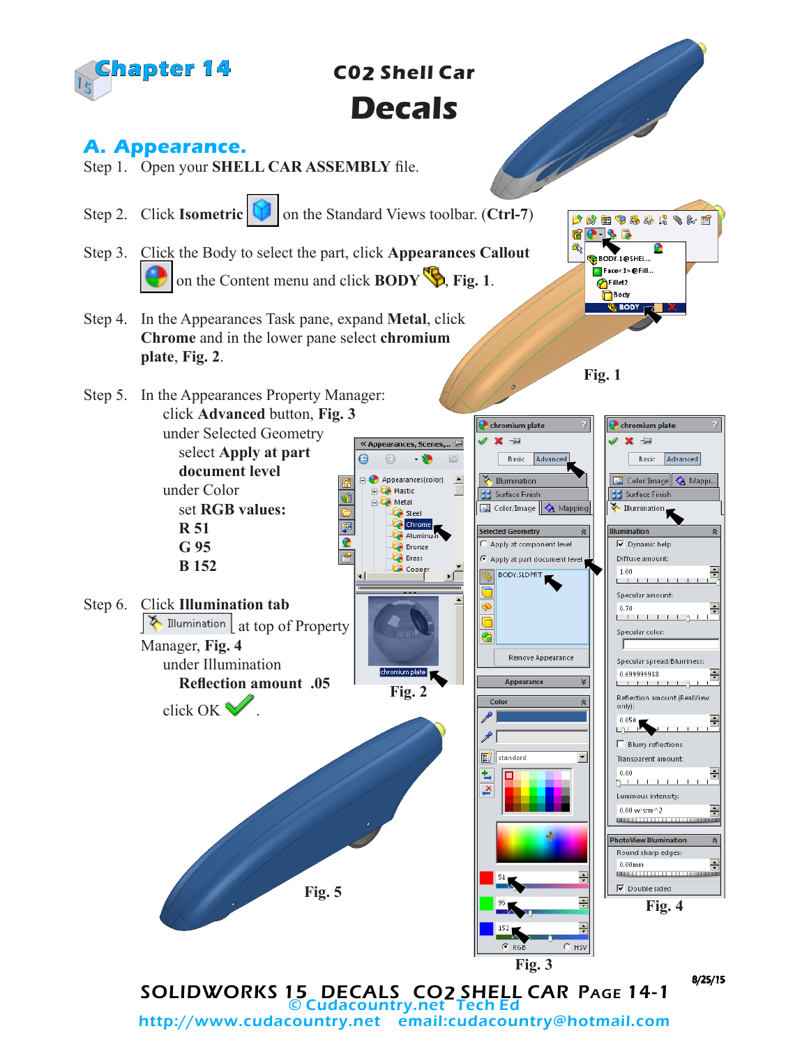

# **Decals**

## **A. Appearance.**

- Step 1. Open your **SHELL CAR ASSEMBLY** file.
- Step 2. Click **Isometric I** on the Standard Views toolbar. (Ctrl-7)
- Step 3. Click the Body to select the part, click **Appearances Callout**  on the Content menu and click **BODY** , **Fig. 1**.
- Step 4. In the Appearances Task pane, expand **Metal**, click **Chrome** and in the lower pane select **chromium plate**, **Fig. 2**.
- Step 5. In the Appearances Property Manager: click **Advanced** button, **Fig. 3** under Selected Geometry

select **Apply at part document level** under Color set **RGB values: R 51 G 95**

 **B 152**

Step 6. Click **Illumination tab** 

Manager, **Fig. 4**

under Illumination

click OK  $\mathbb{Z}$ 

**Reflection amount .05**



« Appearances, Scenes,... -

Appearances(color)

**C** Steel Chrome

 $-$  0

 $\odot$ 

**Plastic** 

**। दि Metal** 

⊝



**O** chromium plate

 $x =$ 

**Fig. 1**

12 4 2 4 4 4 4 5 6 1

 $\bullet$   $\bullet$   $\bullet$ 

BODY-1@SHEL... Face<1>@Fill... Fillet2 Body **VE BODY** 

ta 配



**Fig. 4**

 $C$  RGB  $C$  HSV **Fig. 3** SOLIDWORKS 15 DECALS CO2 SHELL CAR PAGE 14-1 Cudacountry.net http://www.cudacountry.net email:cudacountry@hotmail.com

**Fig. 5**

8/25/15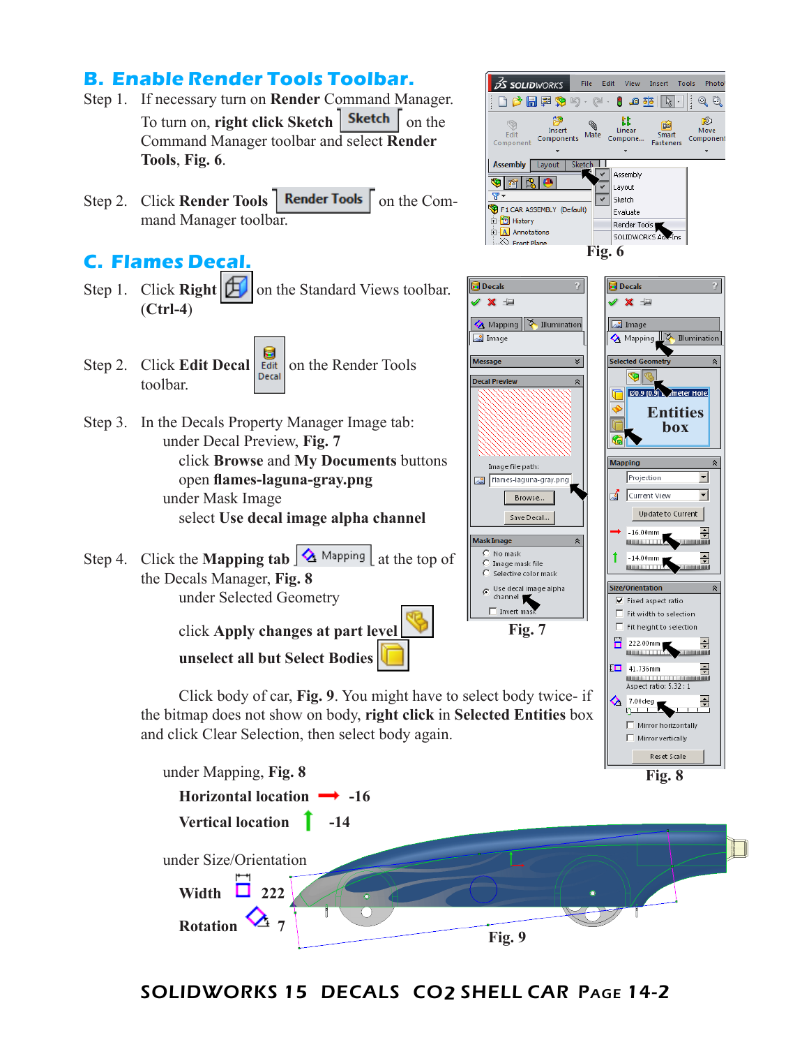### **B. Enable Render Tools Toolbar.**

- Step 1. If necessary turn on **Render** Command Manager. To turn on, **right click Sketch** | **Sketch**  $\int$  on the Command Manager toolbar and select **Render Tools**, **Fig. 6**.
- Step 2. Click **Render Tools** | **Render Tools** | on the Command Manager toolbar.

#### **C. Flames Decal.**

- Step 1. Click **Right**  $\boxed{E}$  on the Standard Views toolbar. (**Ctrl-4**)
- н Step 2. Click **Edit Decal Edit** on the Render Tools toolbar.
- Step 3. In the Decals Property Manager Image tab: under Decal Preview, **Fig. 7** click **Browse** and **My Documents** buttons open **flames-laguna-gray.png** under Mask Image select **Use decal image alpha channel**
- Step 4. Click the **Mapping tab**  $\frac{\mathbf{A}}{\mathbf{A}}$  Mapping  $\mathbf{A}$  at the top of the Decals Manager, **Fig. 8** under Selected Geometry

click **Apply changes at part level unselect all but Select Bodies** 

and click Clear Selection, then select body again.







#### SOLIDWORKS 15 DECALS CO2 SHELL CAR Page 14-2